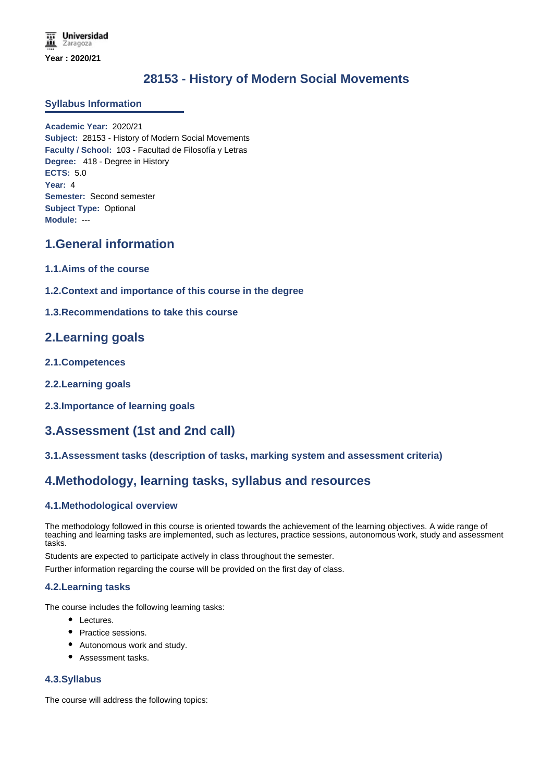# **28153 - History of Modern Social Movements**

## **Syllabus Information**

**Academic Year:** 2020/21 **Subject:** 28153 - History of Modern Social Movements **Faculty / School:** 103 - Facultad de Filosofía y Letras **Degree:** 418 - Degree in History **ECTS:** 5.0 **Year:** 4 **Semester:** Second semester **Subject Type:** Optional **Module:** ---

# **1.General information**

- **1.1.Aims of the course**
- **1.2.Context and importance of this course in the degree**
- **1.3.Recommendations to take this course**

# **2.Learning goals**

- **2.1.Competences**
- **2.2.Learning goals**
- **2.3.Importance of learning goals**

# **3.Assessment (1st and 2nd call)**

**3.1.Assessment tasks (description of tasks, marking system and assessment criteria)**

## **4.Methodology, learning tasks, syllabus and resources**

## **4.1.Methodological overview**

The methodology followed in this course is oriented towards the achievement of the learning objectives. A wide range of teaching and learning tasks are implemented, such as lectures, practice sessions, autonomous work, study and assessment tasks.

Students are expected to participate actively in class throughout the semester.

Further information regarding the course will be provided on the first day of class.

#### **4.2.Learning tasks**

The course includes the following learning tasks:

- Lectures.
- Practice sessions.
- Autonomous work and study.
- Assessment tasks.

#### **4.3.Syllabus**

The course will address the following topics: